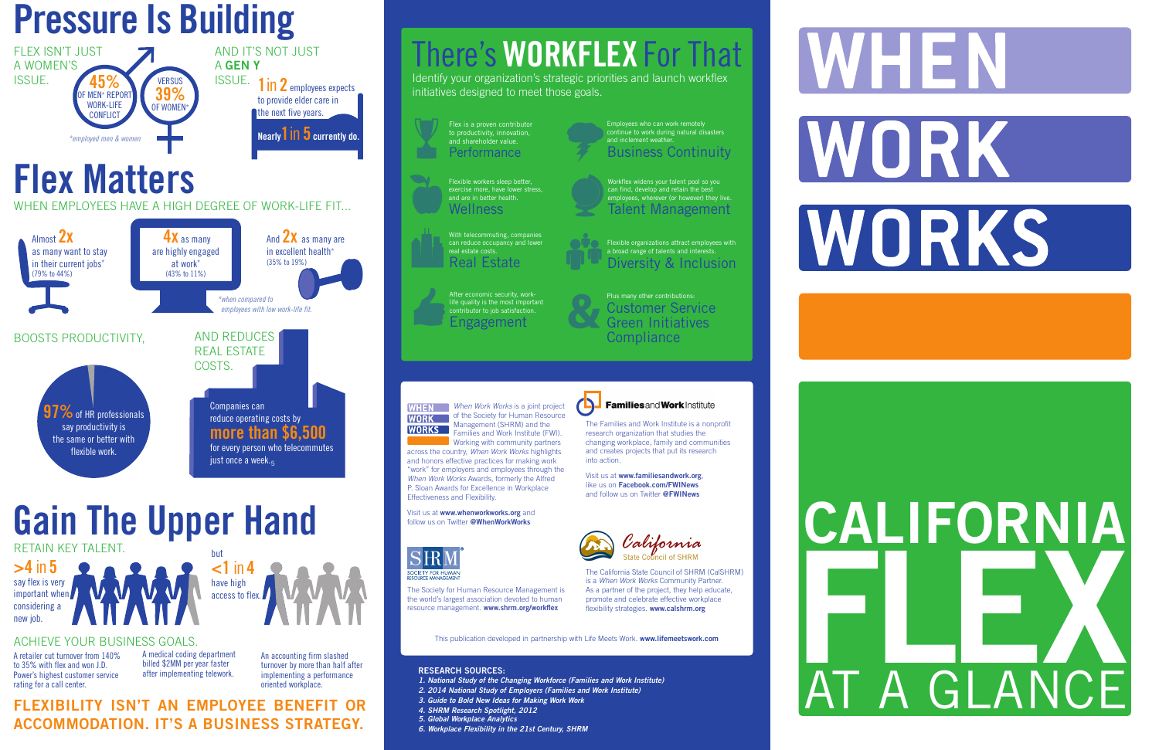A retailer cut turnover from 140% to 35% with flex and won J.D. Power's highest customer service rating for a call center.





#### **FLEXIBILITY ISN'T AN EMPLOYEE BENEFIT OR ACCOMMODATION. IT'S A BUSINESS STRATEGY.**





but

**<1** in **4** have high access to flex.

#### ACHIEVE YOUR BUSINESS GOALS.

A medical coding department billed \$2MM per year faster after implementing telework.

# Visit us at www.whenworkworks.org and<br>follow us on Twitter @WhenWorkWorks<br>S RR M<sup>2</sup><br>S RR M<sup>2</sup> **FLEX** AT A GLANCE

An accounting firm slashed turnover by more than half after implementing a performance oriented workplace.

# **Gain The Upper Hand**

With telecommuting, companies can reduce occupancy and lower real estate costs. **Real Estate** 

across the country, *When Work Works* highlights and honors effective practices for making work "work" for employers and employees through the *When Work Works* Awards, formerly the Alfred P. Sloan Awards for Excellence in Workplace Effectiveness and Flexibility.

Visit us at **www.whenworkworks.org** and



#### **RESEARCH SOURCES:**

Plus many other contributions: Customer Service Green Initiatives **Compliance** 

- *1. National Study of the Changing Workforce (Families and Work Institute)*
- *2. 2014 National Study of Employers (Families and Work Institute)*
- *3. Guide to Bold New Ideas for Making Work Work*
- *4. SHRM Research Spotlight, 2012*
- *5. Global Workplace Analytics*
- *6. Workplace Flexibility in the 21st Century, SHRM*



The Families and Work Institute is a nonprofit research organization that studies the changing workplace, family and communities and creates projects that put its research

**Familiesand Work Institute** 

into action.

Visit us at **www.familiesandwork.org**, like us on **Facebook.com/FWINews** and follow us on Twitter **@FWINews**

**WHEN** When Work Works is a joint project **WORK** of the Society for Human Resource Management (SHRM) and the Families and Work Institute (FWI). **Working with community partners** 

This publication developed in partnership with Life Meets Work. **www.lifemeetswork.com**

The Society for Human Resource Management is

the world's largest association devoted to human resource management. **www.shrm.org/workflex**

The California State Council of SHRM (CalSHRM) is a *When Work Works* Community Partner. As a partner of the project, they help educate, promote and celebrate effective workplace flexibility strategies. **www.calshrm.org**

# **WHEN** WORK WORKS

# There's **WORKFLEX** For That

Identify your organization's strategic priorities and launch workflex initiatives designed to meet those goals.

Flexible workers sleep better, exercise more, have lower stress and are in better health. Wellness

> Flexible organizations attract employees with a broad range of talents and interests. Diversity & Inclusion

Employees who can work remotely continue to work during natural disasters and inclement weather. Business Continuity



Flex is a proven contributor to productivity, innovation, and shareholder value. Performance

After economic security, worklife quality is the most important contributor to job satisfaction. Engagement